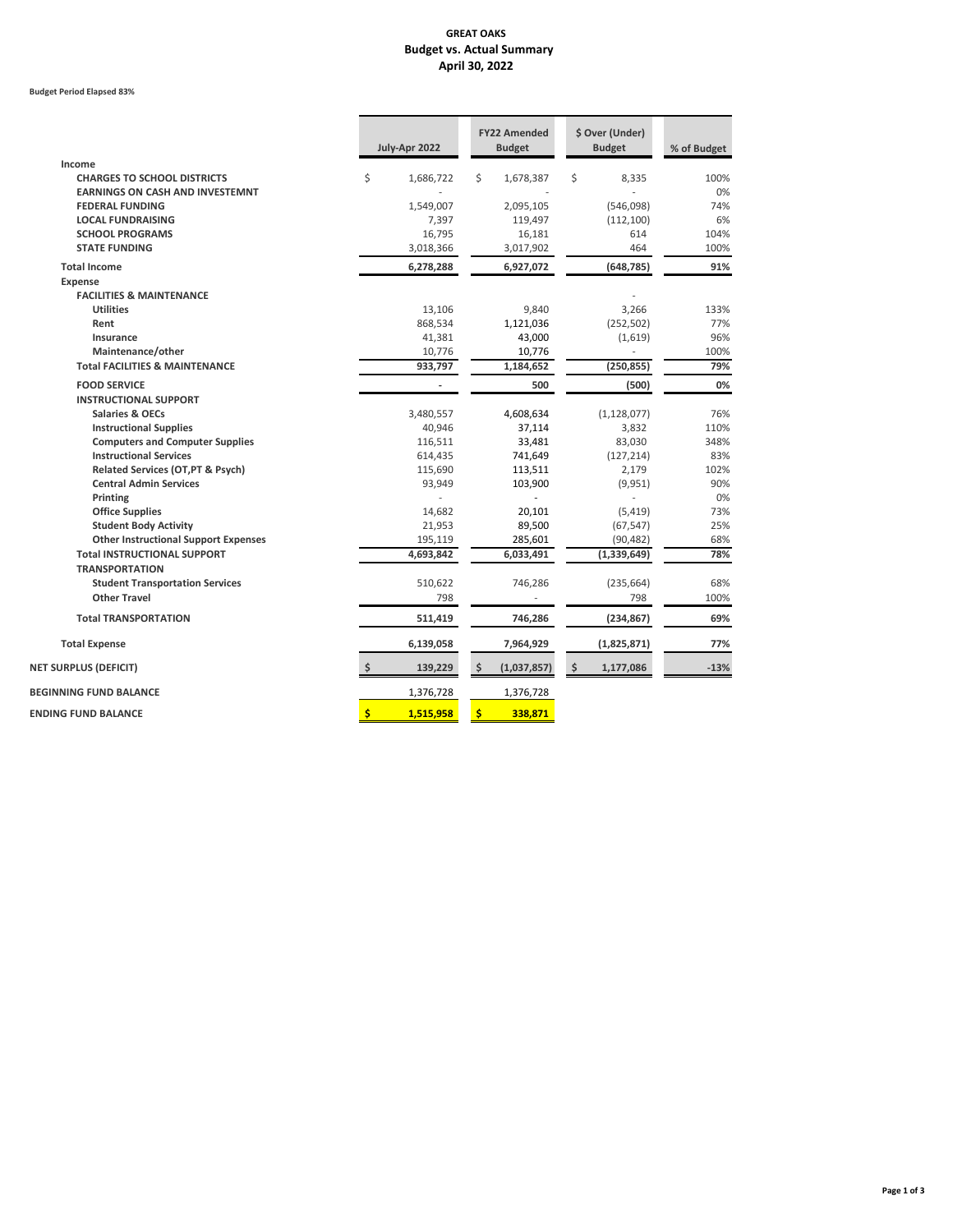# **GREAT OAKS Budget vs. Actual Summary April 30, 2022**

#### **Budget Period Elapsed 83%**

|                                              | July-Apr 2022                                    | <b>FY22 Amended</b><br><b>Budget</b> | \$ Over (Under)<br><b>Budget</b> | % of Budget |
|----------------------------------------------|--------------------------------------------------|--------------------------------------|----------------------------------|-------------|
| Income                                       |                                                  |                                      |                                  |             |
| <b>CHARGES TO SCHOOL DISTRICTS</b>           | \$<br>1,686,722                                  | \$<br>1,678,387                      | \$<br>8,335                      | 100%        |
| <b>EARNINGS ON CASH AND INVESTEMNT</b>       |                                                  |                                      |                                  | 0%          |
| <b>FEDERAL FUNDING</b>                       | 1,549,007                                        | 2,095,105                            | (546,098)                        | 74%         |
| <b>LOCAL FUNDRAISING</b>                     | 7,397                                            | 119,497                              | (112, 100)                       | 6%          |
| <b>SCHOOL PROGRAMS</b>                       | 16,795                                           | 16,181                               | 614                              | 104%        |
| <b>STATE FUNDING</b>                         | 3,018,366                                        | 3,017,902                            | 464                              | 100%        |
| <b>Total Income</b>                          | 6,278,288                                        | 6,927,072                            | (648, 785)                       | 91%         |
| <b>Expense</b>                               |                                                  |                                      |                                  |             |
| <b>FACILITIES &amp; MAINTENANCE</b>          |                                                  |                                      |                                  |             |
| <b>Utilities</b>                             | 13,106                                           | 9,840                                | 3,266                            | 133%        |
| Rent                                         | 868,534                                          | 1,121,036                            | (252, 502)                       | 77%         |
| <b>Insurance</b>                             | 41,381                                           | 43,000                               | (1,619)                          | 96%         |
| Maintenance/other                            | 10,776                                           | 10,776                               |                                  | 100%        |
| <b>Total FACILITIES &amp; MAINTENANCE</b>    | 933,797                                          | 1,184,652                            | (250, 855)                       | 79%         |
| <b>FOOD SERVICE</b>                          |                                                  | 500                                  | (500)                            | 0%          |
| <b>INSTRUCTIONAL SUPPORT</b>                 |                                                  |                                      |                                  |             |
| <b>Salaries &amp; OECs</b>                   | 3,480,557                                        | 4,608,634                            | (1, 128, 077)                    | 76%         |
| <b>Instructional Supplies</b>                | 40,946                                           | 37,114                               | 3,832                            | 110%        |
| <b>Computers and Computer Supplies</b>       | 116,511                                          | 33,481                               | 83,030                           | 348%        |
| <b>Instructional Services</b>                | 614,435                                          | 741,649                              | (127, 214)                       | 83%         |
| <b>Related Services (OT, PT &amp; Psych)</b> | 115,690                                          | 113,511                              | 2,179                            | 102%        |
| <b>Central Admin Services</b>                | 93,949                                           | 103,900                              | (9,951)                          | 90%         |
| <b>Printing</b>                              |                                                  |                                      |                                  | 0%          |
| <b>Office Supplies</b>                       | 14,682                                           | 20,101                               | (5, 419)                         | 73%         |
| <b>Student Body Activity</b>                 | 21,953                                           | 89,500                               | (67, 547)                        | 25%         |
| <b>Other Instructional Support Expenses</b>  | 195,119                                          | 285,601                              | (90, 482)                        | 68%         |
| <b>Total INSTRUCTIONAL SUPPORT</b>           | 4,693,842                                        | 6,033,491                            | (1, 339, 649)                    | 78%         |
| <b>TRANSPORTATION</b>                        |                                                  |                                      |                                  |             |
| <b>Student Transportation Services</b>       | 510,622                                          | 746,286                              | (235, 664)                       | 68%         |
| <b>Other Travel</b>                          | 798                                              |                                      | 798                              | 100%        |
| <b>Total TRANSPORTATION</b>                  | 511,419                                          | 746,286                              | (234, 867)                       | 69%         |
| <b>Total Expense</b>                         | 6,139,058                                        | 7,964,929                            | (1,825,871)                      | 77%         |
| <b>NET SURPLUS (DEFICIT)</b>                 | 139,229<br>\$                                    | (1,037,857)<br>\$                    | \$<br>1,177,086                  | $-13%$      |
| <b>BEGINNING FUND BALANCE</b>                | 1,376,728                                        | 1,376,728                            |                                  |             |
| <b>ENDING FUND BALANCE</b>                   | $\left  \boldsymbol{\zeta} \right $<br>1,515,958 | $\frac{1}{2}$<br>338,871             |                                  |             |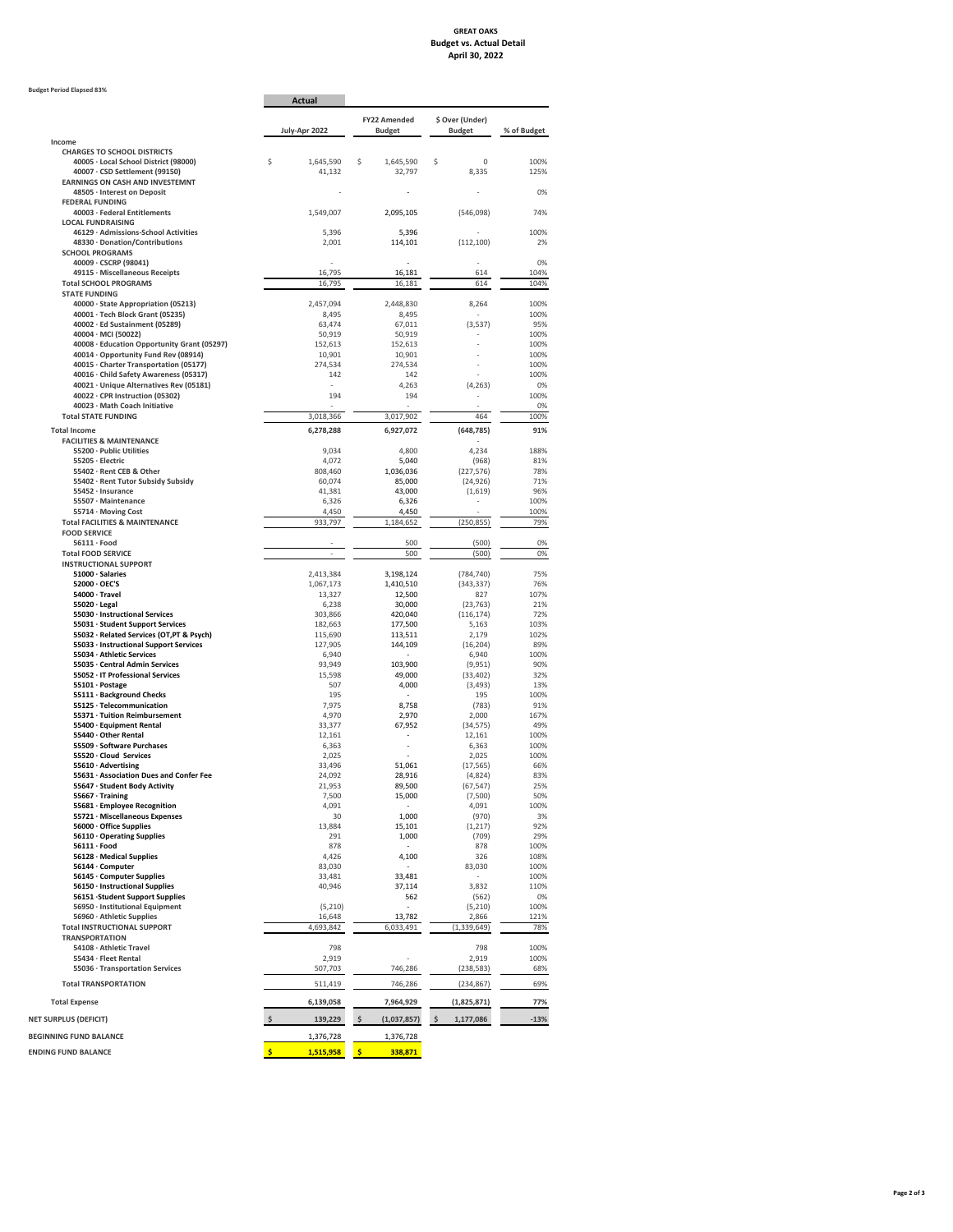## **GREAT OAKS Budget vs. Actual Detail April 30, 2022**

#### **Budget Period Elapsed 83%**

|                                                                                     | <b>Actual</b>                     |                                      |                                  |              |
|-------------------------------------------------------------------------------------|-----------------------------------|--------------------------------------|----------------------------------|--------------|
|                                                                                     | July-Apr 2022                     | <b>FY22 Amended</b><br><b>Budget</b> | \$ Over (Under)<br><b>Budget</b> | % of Budget  |
| Income<br><b>CHARGES TO SCHOOL DISTRICTS</b>                                        |                                   |                                      |                                  |              |
| 40005 · Local School District (98000)<br>40007 · CSD Settlement (99150)             | \$<br>1,645,590<br>41,132         | \$<br>1,645,590<br>32,797            | \$<br>0<br>8,335                 | 100%<br>125% |
| <b>EARNINGS ON CASH AND INVESTEMNT</b><br>48505 · Interest on Deposit               |                                   |                                      |                                  | 0%           |
| <b>FEDERAL FUNDING</b>                                                              |                                   |                                      |                                  |              |
| 40003 · Federal Entitlements                                                        | 1,549,007                         | 2,095,105                            | (546,098)                        | 74%          |
| <b>LOCAL FUNDRAISING</b><br>46129 · Admissions-School Activities                    | 5,396                             | 5,396                                |                                  | 100%         |
| 48330 · Donation/Contributions                                                      | 2,001                             | 114,101                              | (112, 100)                       | 2%           |
| <b>SCHOOL PROGRAMS</b>                                                              |                                   |                                      |                                  |              |
| $40009 \cdot CSCRP (98041)$<br>49115 · Miscellaneous Receipts                       | 16,795                            | 16,181                               | 614                              | 0%<br>104%   |
| <b>Total SCHOOL PROGRAMS</b>                                                        | 16,795                            | 16,181                               | 614                              | 104%         |
| <b>STATE FUNDING</b>                                                                |                                   |                                      |                                  |              |
| 40000 · State Appropriation (05213)                                                 | 2,457,094                         | 2,448,830                            | 8,264                            | 100%         |
| 40001 · Tech Block Grant (05235)<br>40002 · Ed Sustainment (05289)                  | 8,495<br>63,474                   | 8,495<br>67,011                      | (3,537)                          | 100%<br>95%  |
| $40004 \cdot MCI (50022)$                                                           | 50,919                            | 50,919                               |                                  | 100%         |
| 40008 · Education Opportunity Grant (05297)                                         | 152,613                           | 152,613                              |                                  | 100%         |
| 40014 · Opportunity Fund Rev (08914)                                                | 10,901                            | 10,901                               |                                  | 100%         |
| 40015 · Charter Transportation (05177)<br>40016 · Child Safety Awareness (05317)    | 274,534<br>142                    | 274,534<br>142                       |                                  | 100%<br>100% |
| 40021 · Unique Alternatives Rev (05181)                                             |                                   | 4,263                                | (4, 263)                         | 0%           |
| 40022 · CPR Instruction (05302)                                                     | 194                               | 194                                  |                                  | 100%         |
| 40023 · Math Coach Initiative                                                       |                                   |                                      |                                  | 0%           |
| <b>Total STATE FUNDING</b>                                                          | 3,018,366                         | 3,017,902                            | 464                              | 100%         |
| <b>Total Income</b>                                                                 | 6,278,288                         | 6,927,072                            | (648, 785)                       | 91%          |
| <b>FACILITIES &amp; MAINTENANCE</b>                                                 |                                   |                                      |                                  |              |
| 55200 · Public Utilities<br>55205 · Electric                                        | 9,034<br>4,072                    | 4,800<br>5,040                       | 4,234<br>(968)                   | 188%<br>81%  |
| 55402 · Rent CEB & Other                                                            | 808,460                           | 1,036,036                            | (227, 576)                       | 78%          |
| 55402 · Rent Tutor Subsidy Subsidy                                                  | 60,074                            | 85,000                               | (24, 926)                        | 71%          |
| 55452 · Insurance                                                                   | 41,381                            | 43,000                               | (1,619)                          | 96%          |
| 55507 · Maintenance                                                                 | 6,326                             | 6,326                                |                                  | 100%         |
| 55714 · Moving Cost<br><b>Total FACILITIES &amp; MAINTENANCE</b>                    | 4,450<br>933,797                  | 4,450<br>1,184,652                   | (250, 855)                       | 100%<br>79%  |
| <b>FOOD SERVICE</b>                                                                 |                                   |                                      |                                  |              |
| $56111 \cdot$ Food                                                                  |                                   | 500                                  | (500)                            | 0%           |
| <b>Total FOOD SERVICE</b>                                                           |                                   | 500                                  | (500)                            | 0%           |
| <b>INSTRUCTIONAL SUPPORT</b>                                                        |                                   |                                      |                                  |              |
| 51000 · Salaries<br>52000 · OEC'S                                                   | 2,413,384<br>1,067,173            | 3,198,124<br>1,410,510               | (784, 740)<br>(343, 337)         | 75%<br>76%   |
| $54000 \cdot$ Travel                                                                | 13,327                            | 12,500                               | 827                              | 107%         |
| $55020 \cdot$ Legal                                                                 | 6,238                             | 30,000                               | (23, 763)                        | 21%          |
| 55030 · Instructional Services                                                      | 303,866                           | 420,040                              | (116, 174)                       | 72%          |
| 55031 · Student Support Services                                                    | 182,663                           | 177,500                              | 5,163                            | 103%         |
| 55032 · Related Services (OT, PT & Psych)<br>55033 · Instructional Support Services | 115,690<br>127,905                | 113,511<br>144,109                   | 2,179<br>(16, 204)               | 102%<br>89%  |
| 55034 · Athletic Services                                                           | 6,940                             |                                      | 6,940                            | 100%         |
| 55035 · Central Admin Services                                                      | 93,949                            | 103,900                              | (9,951)                          | 90%          |
| 55052 · IT Professional Services                                                    | 15,598                            | 49,000                               | (33, 402)                        | 32%          |
| 55101 · Postage<br>55111 · Background Checks                                        | 507<br>195                        | 4,000                                | (3, 493)<br>195                  | 13%<br>100%  |
| 55125 · Telecommunication                                                           | 7,975                             | 8,758                                | (783)                            | 91%          |
| 55371 · Tuition Reimbursement                                                       | 4,970                             | 2,970                                | 2,000                            | 167%         |
| 55400 · Equipment Rental                                                            | 33,377                            | 67,952                               | (34, 575)                        | 49%          |
| 55440 · Other Rental<br>55509 · Software Purchases                                  | 12,161                            |                                      | 12,161                           | 100%<br>100% |
| 55520 · Cloud Services                                                              | 6,363<br>2,025                    |                                      | 6,363<br>2,025                   | 100%         |
| 55610 · Advertising                                                                 | 33,496                            | 51,061                               | (17, 565)                        | 66%          |
| 55631 · Association Dues and Confer Fee                                             | 24,092                            | 28,916                               | (4,824)                          | 83%          |
| 55647 · Student Body Activity                                                       | 21,953                            | 89,500                               | (67, 547)                        | 25%          |
| 55667 · Training<br>55681 · Employee Recognition                                    | 7,500<br>4,091                    | 15,000                               | (7,500)<br>4,091                 | 50%<br>100%  |
| 55721 · Miscellaneous Expenses                                                      | 30                                | 1,000                                | (970)                            | 3%           |
| 56000 · Office Supplies                                                             | 13,884                            | 15,101                               | (1,217)                          | 92%          |
| 56110 · Operating Supplies                                                          | 291                               | 1,000                                | (709)                            | 29%          |
| $56111 \cdot$ Food                                                                  | 878                               |                                      | 878                              | 100%         |
| 56128 · Medical Supplies<br>56144 · Computer                                        | 4,426<br>83,030                   | 4,100                                | 326<br>83,030                    | 108%<br>100% |
| 56145 · Computer Supplies                                                           | 33,481                            | 33,481                               |                                  | 100%         |
| 56150 · Instructional Supplies                                                      | 40,946                            | 37,114                               | 3,832                            | 110%         |
| 56151 · Student Support Supplies                                                    |                                   | 562                                  | (562)                            | 0%           |
| 56950 · Institutional Equipment                                                     | (5, 210)                          |                                      | (5, 210)                         | 100%         |
| 56960 · Athletic Supplies<br><b>Total INSTRUCTIONAL SUPPORT</b>                     | 16,648<br>4,693,842               | 13,782<br>6,033,491                  | 2,866<br>(1, 339, 649)           | 121%<br>78%  |
| <b>TRANSPORTATION</b>                                                               |                                   |                                      |                                  |              |
| 54108 · Athletic Travel                                                             | 798                               |                                      | 798                              | 100%         |
| 55434 · Fleet Rental                                                                | 2,919                             |                                      | 2,919                            | 100%         |
| 55036 · Transportation Services                                                     | 507,703                           | 746,286                              | (238, 583)                       | 68%          |
| <b>Total TRANSPORTATION</b>                                                         | 511,419                           | 746,286                              | (234, 867)                       | 69%          |
| <b>Total Expense</b>                                                                | 6,139,058                         | 7,964,929                            | (1,825,871)                      | 77%          |
| <b>NET SURPLUS (DEFICIT)</b>                                                        | 139,229                           | (1,037,857)<br>$\Rightarrow$         | $\sqrt{5}$<br>1,177,086          | $-13%$       |
| <b>BEGINNING FUND BALANCE</b>                                                       | 1,376,728                         | 1,376,728                            |                                  |              |
| <b>ENDING FUND BALANCE</b>                                                          | $\boldsymbol{\zeta}$<br>1,515,958 | $\mathsf{S}$<br>338,871              |                                  |              |
|                                                                                     |                                   |                                      |                                  |              |